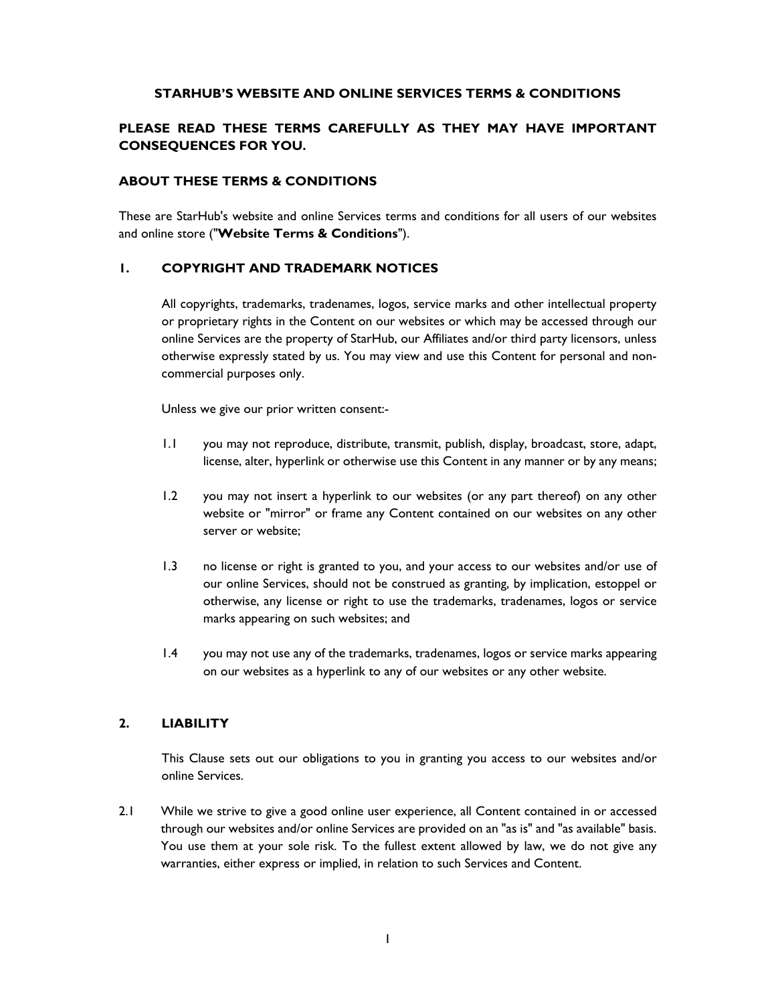### **STARHUB'S WEBSITE AND ONLINE SERVICES TERMS & CONDITIONS**

# **PLEASE READ THESE TERMS CAREFULLY AS THEY MAY HAVE IMPORTANT CONSEQUENCES FOR YOU.**

### **ABOUT THESE TERMS & CONDITIONS**

These are StarHub's website and online Services terms and conditions for all users of our websites and online store ("**Website Terms & Conditions**").

### **1. COPYRIGHT AND TRADEMARK NOTICES**

 All copyrights, trademarks, tradenames, logos, service marks and other intellectual property or proprietary rights in the Content on our websites or which may be accessed through our online Services are the property of StarHub, our Affiliates and/or third party licensors, unless otherwise expressly stated by us. You may view and use this Content for personal and noncommercial purposes only.

Unless we give our prior written consent:-

- 1.1 you may not reproduce, distribute, transmit, publish, display, broadcast, store, adapt, license, alter, hyperlink or otherwise use this Content in any manner or by any means;
- 1.2 you may not insert a hyperlink to our websites (or any part thereof) on any other website or "mirror" or frame any Content contained on our websites on any other server or website;
- 1.3 no license or right is granted to you, and your access to our websites and/or use of our online Services, should not be construed as granting, by implication, estoppel or otherwise, any license or right to use the trademarks, tradenames, logos or service marks appearing on such websites; and
- 1.4 you may not use any of the trademarks, tradenames, logos or service marks appearing on our websites as a hyperlink to any of our websites or any other website.

### **2. LIABILITY**

 This Clause sets out our obligations to you in granting you access to our websites and/or online Services.

2.1 While we strive to give a good online user experience, all Content contained in or accessed through our websites and/or online Services are provided on an "as is" and "as available" basis. You use them at your sole risk. To the fullest extent allowed by law, we do not give any warranties, either express or implied, in relation to such Services and Content.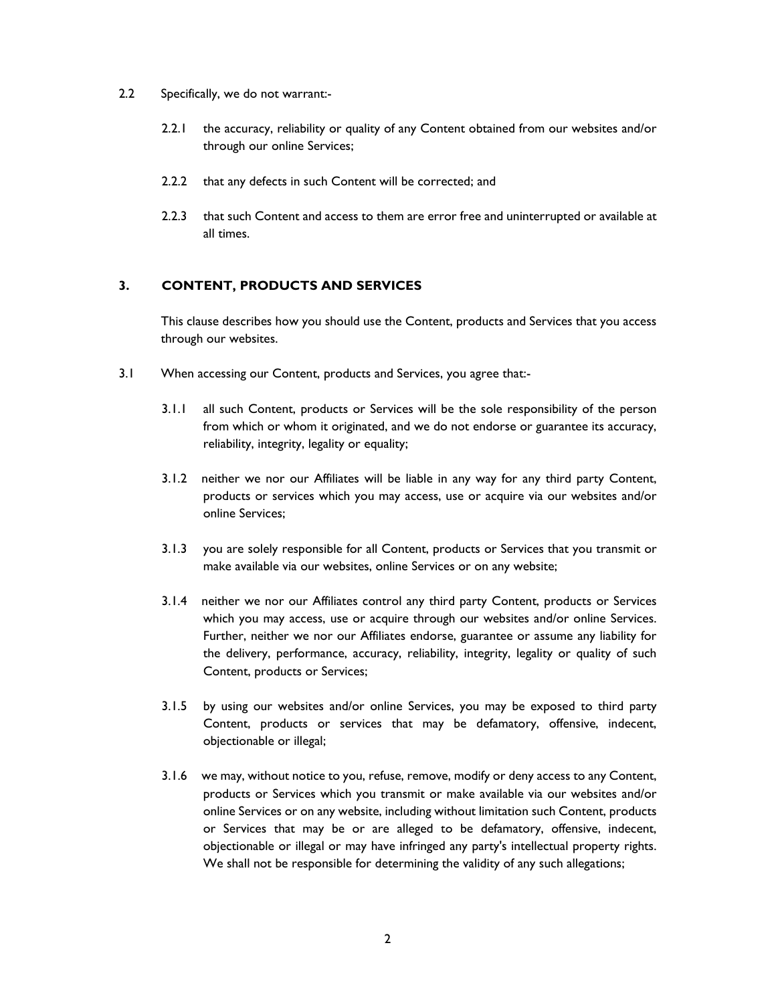- 2.2 Specifically, we do not warrant:-
	- 2.2.1 the accuracy, reliability or quality of any Content obtained from our websites and/or through our online Services;
	- 2.2.2 that any defects in such Content will be corrected; and
	- 2.2.3 that such Content and access to them are error free and uninterrupted or available at all times.

# **3. CONTENT, PRODUCTS AND SERVICES**

This clause describes how you should use the Content, products and Services that you access through our websites.

- 3.1 When accessing our Content, products and Services, you agree that:-
	- 3.1.1 all such Content, products or Services will be the sole responsibility of the person from which or whom it originated, and we do not endorse or guarantee its accuracy, reliability, integrity, legality or equality;
	- 3.1.2 neither we nor our Affiliates will be liable in any way for any third party Content, products or services which you may access, use or acquire via our websites and/or online Services;
	- 3.1.3 you are solely responsible for all Content, products or Services that you transmit or make available via our websites, online Services or on any website;
	- 3.1.4 neither we nor our Affiliates control any third party Content, products or Services which you may access, use or acquire through our websites and/or online Services. Further, neither we nor our Affiliates endorse, guarantee or assume any liability for the delivery, performance, accuracy, reliability, integrity, legality or quality of such Content, products or Services;
	- 3.1.5 by using our websites and/or online Services, you may be exposed to third party Content, products or services that may be defamatory, offensive, indecent, objectionable or illegal;
	- 3.1.6 we may, without notice to you, refuse, remove, modify or deny access to any Content, products or Services which you transmit or make available via our websites and/or online Services or on any website, including without limitation such Content, products or Services that may be or are alleged to be defamatory, offensive, indecent, objectionable or illegal or may have infringed any party's intellectual property rights. We shall not be responsible for determining the validity of any such allegations;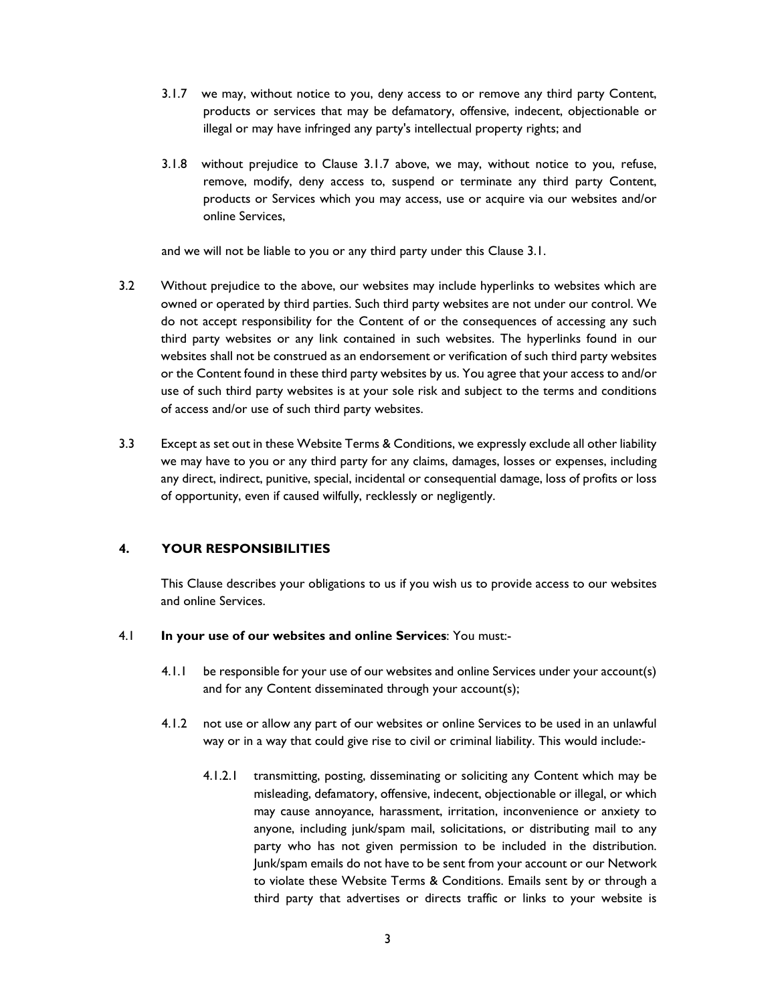- 3.1.7 we may, without notice to you, deny access to or remove any third party Content, products or services that may be defamatory, offensive, indecent, objectionable or illegal or may have infringed any party's intellectual property rights; and
- 3.1.8 without prejudice to Clause 3.1.7 above, we may, without notice to you, refuse, remove, modify, deny access to, suspend or terminate any third party Content, products or Services which you may access, use or acquire via our websites and/or online Services,

and we will not be liable to you or any third party under this Clause 3.1.

- 3.2 Without prejudice to the above, our websites may include hyperlinks to websites which are owned or operated by third parties. Such third party websites are not under our control. We do not accept responsibility for the Content of or the consequences of accessing any such third party websites or any link contained in such websites. The hyperlinks found in our websites shall not be construed as an endorsement or verification of such third party websites or the Content found in these third party websites by us. You agree that your access to and/or use of such third party websites is at your sole risk and subject to the terms and conditions of access and/or use of such third party websites.
- 3.3 Except as set out in these Website Terms & Conditions, we expressly exclude all other liability we may have to you or any third party for any claims, damages, losses or expenses, including any direct, indirect, punitive, special, incidental or consequential damage, loss of profits or loss of opportunity, even if caused wilfully, recklessly or negligently.

## **4. YOUR RESPONSIBILITIES**

This Clause describes your obligations to us if you wish us to provide access to our websites and online Services.

### 4.1 **In your use of our websites and online Services**: You must:-

- 4.1.1 be responsible for your use of our websites and online Services under your account(s) and for any Content disseminated through your account(s);
- 4.1.2 not use or allow any part of our websites or online Services to be used in an unlawful way or in a way that could give rise to civil or criminal liability. This would include:-
	- 4.1.2.1 transmitting, posting, disseminating or soliciting any Content which may be misleading, defamatory, offensive, indecent, objectionable or illegal, or which may cause annoyance, harassment, irritation, inconvenience or anxiety to anyone, including junk/spam mail, solicitations, or distributing mail to any party who has not given permission to be included in the distribution. Junk/spam emails do not have to be sent from your account or our Network to violate these Website Terms & Conditions. Emails sent by or through a third party that advertises or directs traffic or links to your website is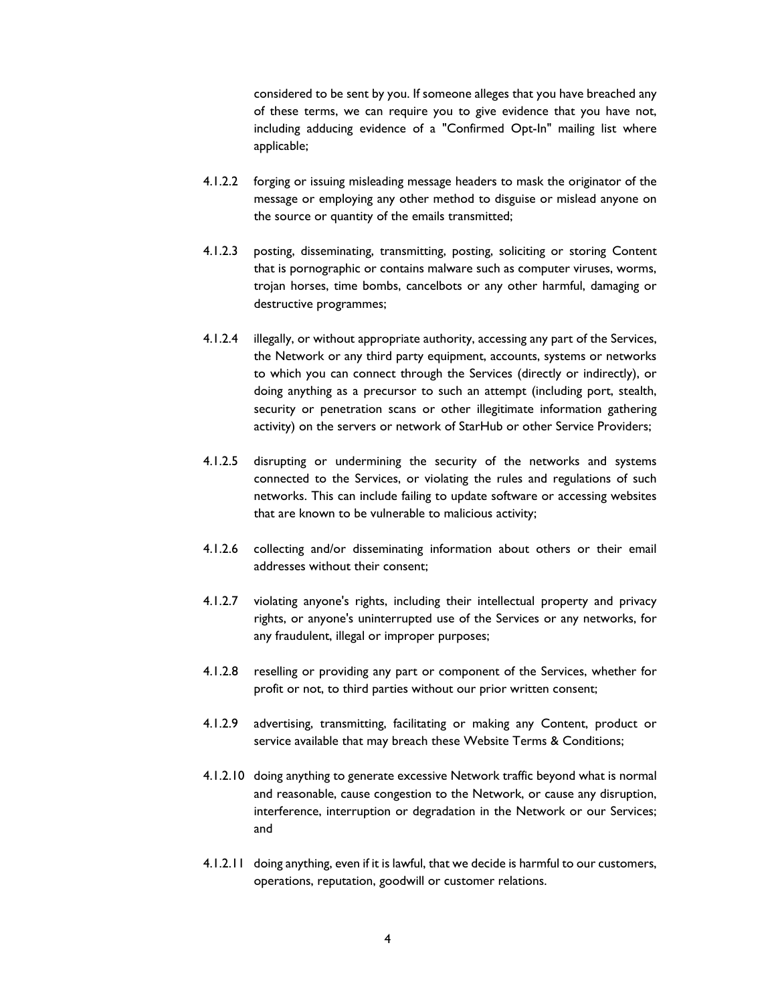considered to be sent by you. If someone alleges that you have breached any of these terms, we can require you to give evidence that you have not, including adducing evidence of a "Confirmed Opt-In" mailing list where applicable;

- 4.1.2.2 forging or issuing misleading message headers to mask the originator of the message or employing any other method to disguise or mislead anyone on the source or quantity of the emails transmitted;
- 4.1.2.3 posting, disseminating, transmitting, posting, soliciting or storing Content that is pornographic or contains malware such as computer viruses, worms, trojan horses, time bombs, cancelbots or any other harmful, damaging or destructive programmes;
- 4.1.2.4 illegally, or without appropriate authority, accessing any part of the Services, the Network or any third party equipment, accounts, systems or networks to which you can connect through the Services (directly or indirectly), or doing anything as a precursor to such an attempt (including port, stealth, security or penetration scans or other illegitimate information gathering activity) on the servers or network of StarHub or other Service Providers;
- 4.1.2.5 disrupting or undermining the security of the networks and systems connected to the Services, or violating the rules and regulations of such networks. This can include failing to update software or accessing websites that are known to be vulnerable to malicious activity;
- 4.1.2.6 collecting and/or disseminating information about others or their email addresses without their consent;
- 4.1.2.7 violating anyone's rights, including their intellectual property and privacy rights, or anyone's uninterrupted use of the Services or any networks, for any fraudulent, illegal or improper purposes;
- 4.1.2.8 reselling or providing any part or component of the Services, whether for profit or not, to third parties without our prior written consent;
- 4.1.2.9 advertising, transmitting, facilitating or making any Content, product or service available that may breach these Website Terms & Conditions;
- 4.1.2.10 doing anything to generate excessive Network traffic beyond what is normal and reasonable, cause congestion to the Network, or cause any disruption, interference, interruption or degradation in the Network or our Services; and
- 4.1.2.11 doing anything, even if it is lawful, that we decide is harmful to our customers, operations, reputation, goodwill or customer relations.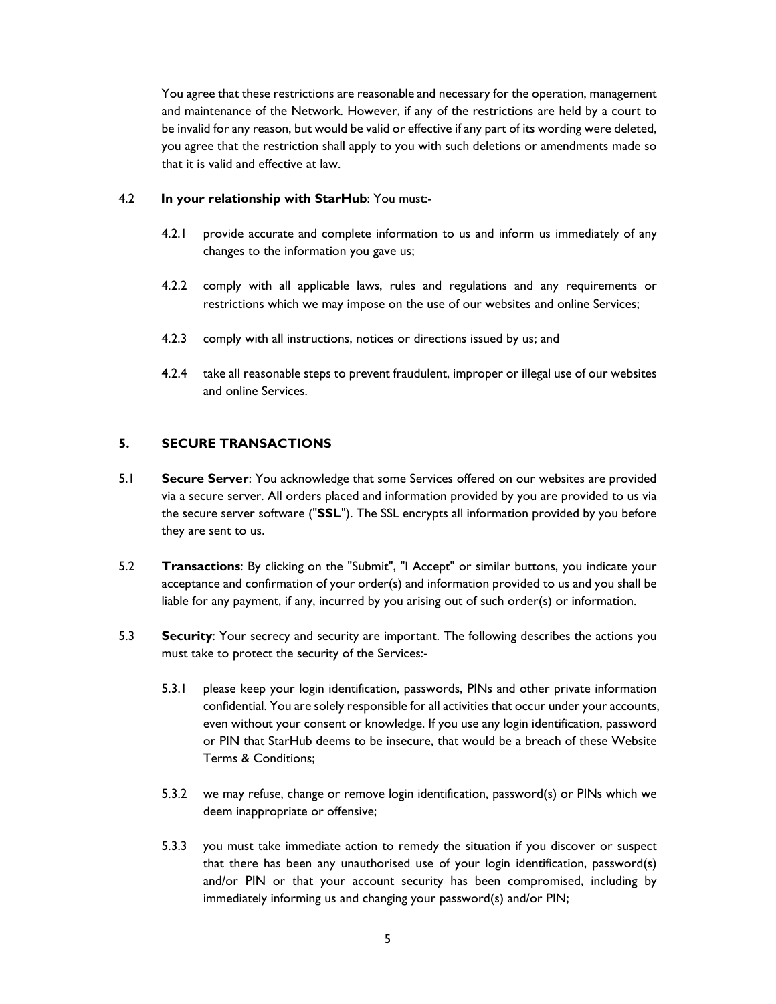You agree that these restrictions are reasonable and necessary for the operation, management and maintenance of the Network. However, if any of the restrictions are held by a court to be invalid for any reason, but would be valid or effective if any part of its wording were deleted, you agree that the restriction shall apply to you with such deletions or amendments made so that it is valid and effective at law.

### 4.2 **In your relationship with StarHub**: You must:-

- 4.2.1 provide accurate and complete information to us and inform us immediately of any changes to the information you gave us;
- 4.2.2 comply with all applicable laws, rules and regulations and any requirements or restrictions which we may impose on the use of our websites and online Services;
- 4.2.3 comply with all instructions, notices or directions issued by us; and
- 4.2.4 take all reasonable steps to prevent fraudulent, improper or illegal use of our websites and online Services.

# **5. SECURE TRANSACTIONS**

- 5.1 **Secure Server**: You acknowledge that some Services offered on our websites are provided via a secure server. All orders placed and information provided by you are provided to us via the secure server software ("**SSL**"). The SSL encrypts all information provided by you before they are sent to us.
- 5.2 **Transactions**: By clicking on the "Submit", "I Accept" or similar buttons, you indicate your acceptance and confirmation of your order(s) and information provided to us and you shall be liable for any payment, if any, incurred by you arising out of such order(s) or information.
- 5.3 **Security**: Your secrecy and security are important. The following describes the actions you must take to protect the security of the Services:-
	- 5.3.1 please keep your login identification, passwords, PINs and other private information confidential. You are solely responsible for all activities that occur under your accounts, even without your consent or knowledge. If you use any login identification, password or PIN that StarHub deems to be insecure, that would be a breach of these Website Terms & Conditions;
	- 5.3.2 we may refuse, change or remove login identification, password(s) or PINs which we deem inappropriate or offensive;
	- 5.3.3 you must take immediate action to remedy the situation if you discover or suspect that there has been any unauthorised use of your login identification, password(s) and/or PIN or that your account security has been compromised, including by immediately informing us and changing your password(s) and/or PIN;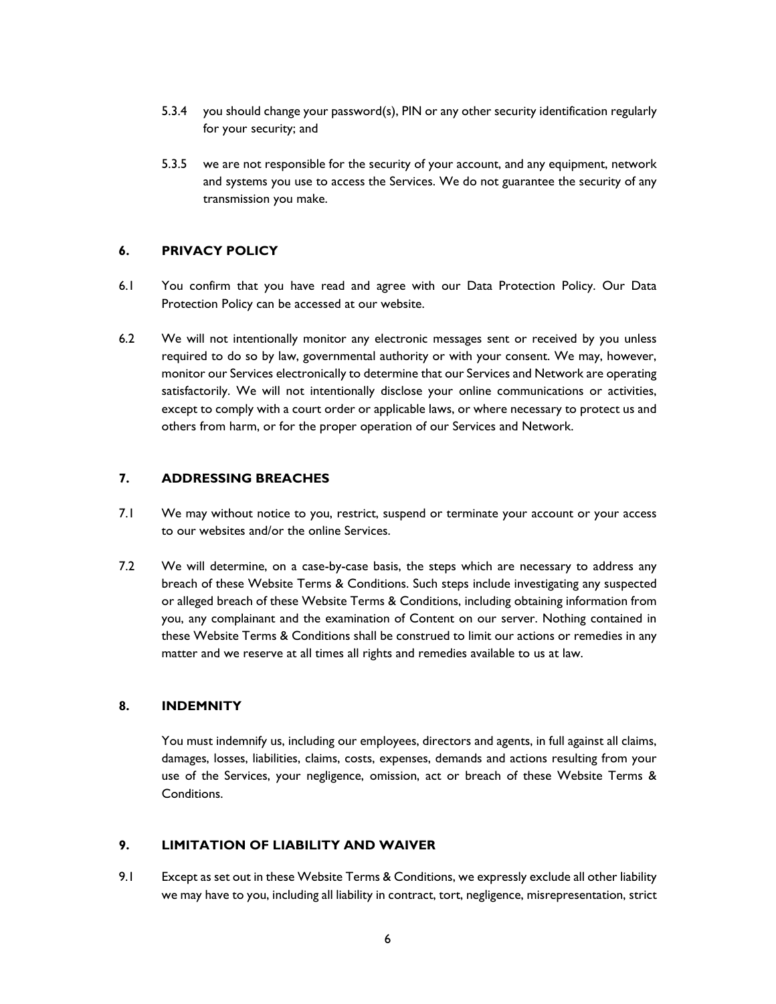- 5.3.4 you should change your password(s), PIN or any other security identification regularly for your security; and
- 5.3.5 we are not responsible for the security of your account, and any equipment, network and systems you use to access the Services. We do not guarantee the security of any transmission you make.

# **6. PRIVACY POLICY**

- 6.1 You confirm that you have read and agree with our Data Protection Policy. Our Data Protection Policy can be accessed at our website.
- 6.2 We will not intentionally monitor any electronic messages sent or received by you unless required to do so by law, governmental authority or with your consent. We may, however, monitor our Services electronically to determine that our Services and Network are operating satisfactorily. We will not intentionally disclose your online communications or activities, except to comply with a court order or applicable laws, or where necessary to protect us and others from harm, or for the proper operation of our Services and Network.

# **7. ADDRESSING BREACHES**

- 7.1 We may without notice to you, restrict, suspend or terminate your account or your access to our websites and/or the online Services.
- 7.2 We will determine, on a case-by-case basis, the steps which are necessary to address any breach of these Website Terms & Conditions. Such steps include investigating any suspected or alleged breach of these Website Terms & Conditions, including obtaining information from you, any complainant and the examination of Content on our server. Nothing contained in these Website Terms & Conditions shall be construed to limit our actions or remedies in any matter and we reserve at all times all rights and remedies available to us at law.

## **8. INDEMNITY**

 You must indemnify us, including our employees, directors and agents, in full against all claims, damages, losses, liabilities, claims, costs, expenses, demands and actions resulting from your use of the Services, your negligence, omission, act or breach of these Website Terms & Conditions.

# **9. LIMITATION OF LIABILITY AND WAIVER**

9.1 Except as set out in these Website Terms & Conditions, we expressly exclude all other liability we may have to you, including all liability in contract, tort, negligence, misrepresentation, strict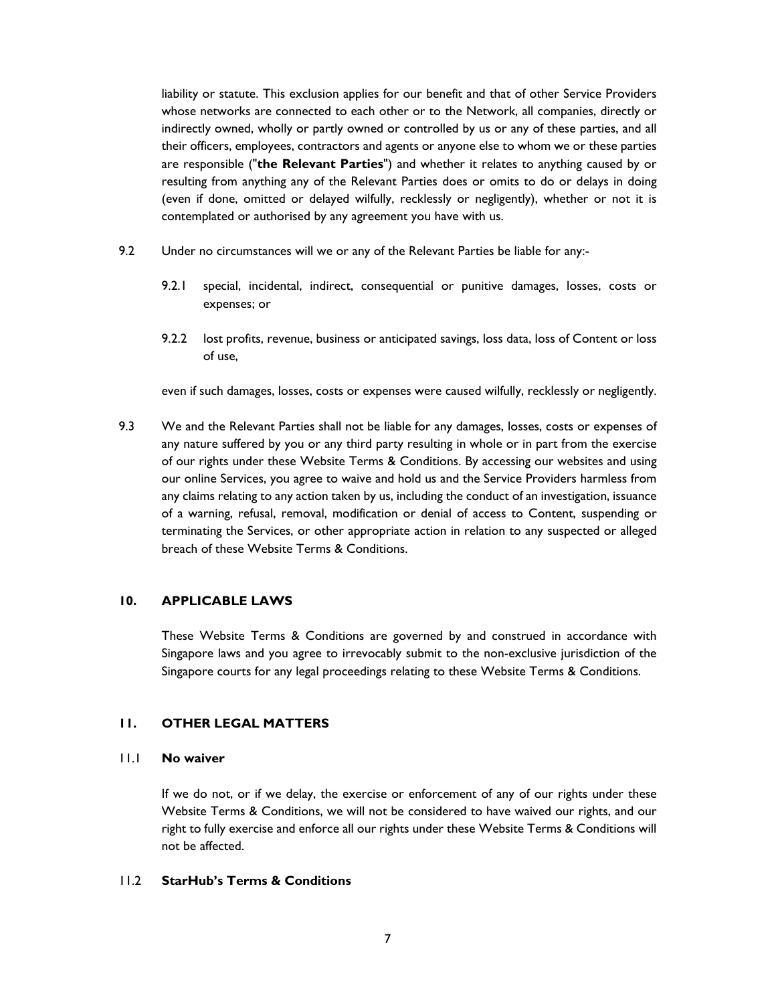liability or statute. This exclusion applies for our benefit and that of other Service Providers whose networks are connected to each other or to the Network, all companies, directly or indirectly owned, wholly or partly owned or controlled by us or any of these parties, and all their officers, employees, contractors and agents or anyone else to whom we or these parties are responsible ("**the Relevant Parties**") and whether it relates to anything caused by or resulting from anything any of the Relevant Parties does or omits to do or delays in doing (even if done, omitted or delayed wilfully, recklessly or negligently), whether or not it is contemplated or authorised by any agreement you have with us.

- 9.2 Under no circumstances will we or any of the Relevant Parties be liable for any:-
	- 9.2.1 special, incidental, indirect, consequential or punitive damages, losses, costs or expenses; or
	- 9.2.2 lost profits, revenue, business or anticipated savings, loss data, loss of Content or loss of use,

even if such damages, losses, costs or expenses were caused wilfully, recklessly or negligently.

9.3 We and the Relevant Parties shall not be liable for any damages, losses, costs or expenses of any nature suffered by you or any third party resulting in whole or in part from the exercise of our rights under these Website Terms & Conditions. By accessing our websites and using our online Services, you agree to waive and hold us and the Service Providers harmless from any claims relating to any action taken by us, including the conduct of an investigation, issuance of a warning, refusal, removal, modification or denial of access to Content, suspending or terminating the Services, or other appropriate action in relation to any suspected or alleged breach of these Website Terms & Conditions.

### **10. APPLICABLE LAWS**

 These Website Terms & Conditions are governed by and construed in accordance with Singapore laws and you agree to irrevocably submit to the non-exclusive jurisdiction of the Singapore courts for any legal proceedings relating to these Website Terms & Conditions.

### **11. OTHER LEGAL MATTERS**

### 11.1 **No waiver**

 If we do not, or if we delay, the exercise or enforcement of any of our rights under these Website Terms & Conditions, we will not be considered to have waived our rights, and our right to fully exercise and enforce all our rights under these Website Terms & Conditions will not be affected.

### 11.2 **StarHub's Terms & Conditions**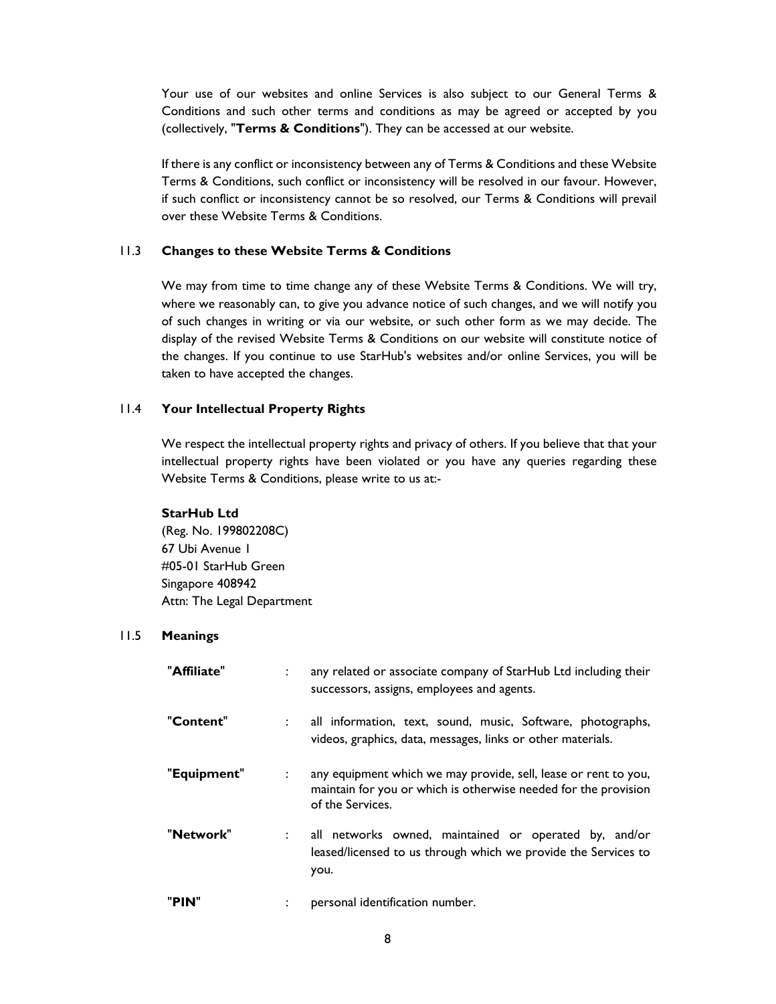Your use of our websites and online Services is also subject to our General Terms & Conditions and such other terms and conditions as may be agreed or accepted by you (collectively, "**Terms & Conditions**"). They can be accessed at our website.

 If there is any conflict or inconsistency between any of Terms & Conditions and these Website Terms & Conditions, such conflict or inconsistency will be resolved in our favour. However, if such conflict or inconsistency cannot be so resolved, our Terms & Conditions will prevail over these Website Terms & Conditions.

## 11.3 **Changes to these Website Terms & Conditions**

 We may from time to time change any of these Website Terms & Conditions. We will try, where we reasonably can, to give you advance notice of such changes, and we will notify you of such changes in writing or via our website, or such other form as we may decide. The display of the revised Website Terms & Conditions on our website will constitute notice of the changes. If you continue to use StarHub's websites and/or online Services, you will be taken to have accepted the changes.

#### 11.4 **Your Intellectual Property Rights**

 We respect the intellectual property rights and privacy of others. If you believe that that your intellectual property rights have been violated or you have any queries regarding these Website Terms & Conditions, please write to us at:-

#### **StarHub Ltd**

(Reg. No. 199802208C) 67 Ubi Avenue 1 #05-01 StarHub Green Singapore 408942 Attn: The Legal Department

### 11.5 **Meanings**

| "Affiliate" | $\mathbb{R}^{\mathbb{Z}}$ | any related or associate company of StarHub Ltd including their<br>successors, assigns, employees and agents.                                          |
|-------------|---------------------------|--------------------------------------------------------------------------------------------------------------------------------------------------------|
| "Content"   |                           | all information, text, sound, music, Software, photographs,<br>videos, graphics, data, messages, links or other materials.                             |
| "Equipment" |                           | any equipment which we may provide, sell, lease or rent to you,<br>maintain for you or which is otherwise needed for the provision<br>of the Services. |
| "Network"   | $\mathbb{R}^n$            | all networks owned, maintained or operated by, and/or<br>leased/licensed to us through which we provide the Services to<br>you.                        |
| "PIN"       |                           | personal identification number.                                                                                                                        |